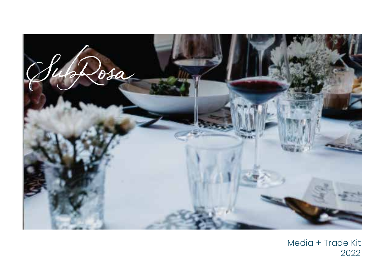

Media + Trade Kit 2022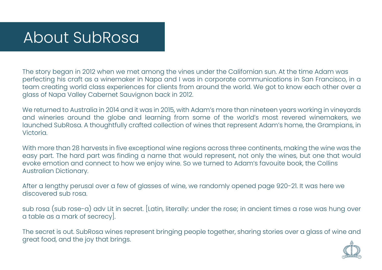### About SubRosa

The story began in 2012 when we met among the vines under the Californian sun. At the time Adam was perfecting his craft as a winemaker in Napa and I was in corporate communications in San Francisco, in a team creating world class experiences for clients from around the world. We got to know each other over a glass of Napa Valley Cabernet Sauvignon back in 2012.

We returned to Australia in 2014 and it was in 2015, with Adam's more than nineteen years working in vineyards and wineries around the globe and learning from some of the world's most revered winemakers, we launched SubRosa. A thoughtfully crafted collection of wines that represent Adam's home, the Grampians, in Victoria.

With more than 28 harvests in five exceptional wine regions across three continents, making the wine was the easy part. The hard part was finding a name that would represent, not only the wines, but one that would evoke emotion and connect to how we enjoy wine. So we turned to Adam's favouite book, the Collins Australian Dictionary.

After a lengthy perusal over a few of glasses of wine, we randomly opened page 920-21. It was here we discovered sub rosa.

sub rosa (sub rose-a) adv Lit in secret. [Latin, literally: under the rose; in ancient times a rose was hung over a table as a mark of secrecy].

The secret is out. SubRosa wines represent bringing people together, sharing stories over a glass of wine and great food, and the joy that brings.

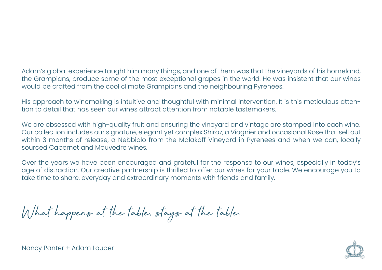Adam's global experience taught him many things, and one of them was that the vineyards of his homeland, the Grampians, produce some of the most exceptional grapes in the world. He was insistent that our wines would be crafted from the cool climate Grampians and the neighbouring Pyrenees.

His approach to winemaking is intuitive and thoughtful with minimal intervention. It is this meticulous attention to detail that has seen our wines attract attention from notable tastemakers.

We are obsessed with high-quality fruit and ensuring the vineyard and vintage are stamped into each wine. Our collection includes our signature, elegant yet complex Shiraz, a Viognier and occasional Rose that sell out within 3 months of release, a Nebbiolo from the Malakoff Vineyard in Pyrenees and when we can, locally sourced Cabernet and Mouvedre wines.

Over the years we have been encouraged and grateful for the response to our wines, especially in today's age of distraction. Our creative partnership is thrilled to offer our wines for your table. We encourage you to take time to share, everyday and extraordinary moments with friends and family.

What happens at the table, stays at the table.



Nancy Panter + Adam Louder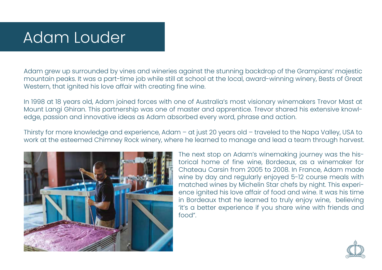# Adam Louder

Adam grew up surrounded by vines and wineries against the stunning backdrop of the Grampians' majestic mountain peaks. It was a part-time job while still at school at the local, award-winning winery, Bests of Great Western, that ignited his love affair with creating fine wine.

In 1998 at 18 years old, Adam joined forces with one of Australia's most visionary winemakers Trevor Mast at Mount Langi Ghiran. This partnership was one of master and apprentice. Trevor shared his extensive knowledge, passion and innovative ideas as Adam absorbed every word, phrase and action.

Thirsty for more knowledge and experience, Adam – at just 20 years old – traveled to the Napa Valley, USA to work at the esteemed Chimney Rock winery, where he learned to manage and lead a team through harvest.



The next stop on Adam's winemaking journey was the historical home of fine wine, Bordeaux, as a winemaker for Chateau Carsin from 2005 to 2008. In France, Adam made wine by day and regularly enjoyed 5-12 course meals with matched wines by Michelin Star chefs by night. This experience ignited his love affair of food and wine. It was his time in Bordeaux that he learned to truly enjoy wine, believing 'it's a better experience if you share wine with friends and food".

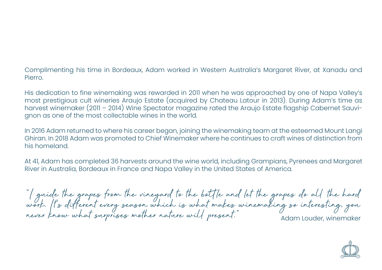Complimenting his time in Bordeaux, Adam worked in Western Australia's Margaret River, at Xanadu and Pierro.

His dedication to fine winemaking was rewarded in 2011 when he was approached by one of Napa Valley's most prestigious cult wineries Araujo Estate (acquired by Chateau Latour in 2013). During Adam's time as harvest winemaker (2011 – 2014) Wine Spectator magazine rated the Araujo Estate flagship Cabernet Sauvignon as one of the most collectable wines in the world.

In 2016 Adam returned to where his career began, joining the winemaking team at the esteemed Mount Langi Ghiran. In 2018 Adam was promoted to Chief Winemaker where he continues to craft wines of distinction from his homeland.

At 41, Adam has completed 36 harvests around the wine world, including Grampians, Pyrenees and Margaret River in Australia, Bordeaux in France and Napa Valley in the United States of America.

"I guide the grapes from the vineyard to the bottle and let the grapes do all the hard work. It's different every season which is what makes winemaking so interesting, you never know what surprises mother nature will present." Adam Louder, winemaker

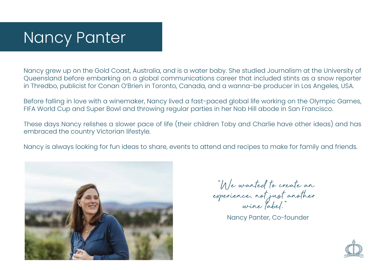# Nancy Panter

Nancy grew up on the Gold Coast, Australia, and is a water baby. She studied Journalism at the University of Queensland before embarking on a global communications career that included stints as a snow reporter in Thredbo, publicist for Conan O'Brien in Toronto, Canada, and a wanna-be producer in Los Angeles, USA.

Before falling in love with a winemaker, Nancy lived a fast-paced global life working on the Olympic Games, FIFA World Cup and Super Bowl and throwing regular parties in her Nob Hill abode in San Francisco.

These days Nancy relishes a slower pace of life (their children Toby and Charlie have other ideas) and has embraced the country Victorian lifestyle.

Nancy is always looking for fun ideas to share, events to attend and recipes to make for family and friends.



 "We wanted to create an experience, not just another wine label."

Nancy Panter, Co-founder

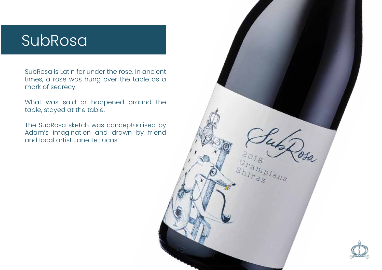### SubRosa

SubRosa is Latin for under the rose. In ancient times, a rose was hung over the table as a mark of secrecy.

What was said or happened around the table, stayed at the table.

The SubRosa sketch was conceptualised by Adam's imagination and drawn by friend and local artist Janette Lucas.

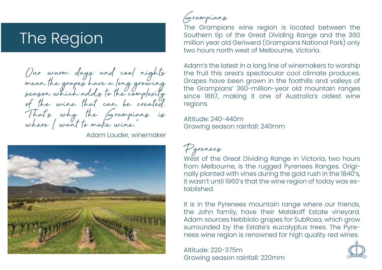## The Region

Our warm days and cool nights mean the grapes have a long growing season which adds to the complexity of the wine that can be created.<br>That's why the Grampians is where I want to make wine."

Adam Louder, winemaker



Grampians

The Grampians wine region is located between the Southern tip of the Great Dividing Range and the 360 million year old Geriwerd (Grampians National Park) only two hours north west of Melbourne, Victoria.

Adam's the latest in a long line of winemakers to worship the fruit this area's spectacular cool climate produces. Grapes have been grown in the foothills and valleys of the Grampians' 360-million-year old mountain ranges since 1867, making it one of Australia's oldest wine regions.

Altitude: 240-440m Growing season rainfall: 240mm



West of the Great Dividing Range in Victoria, two hours from Melbourne, is the rugged Pyrenees Ranges. Originally planted with vines during the gold rush in the 1840's, it wasn't until 1960's that the wine region of today was established.

It is in the Pyrenees mountain range where our friends, the John family, have their Malakoff Estate vineyard. Adam sources Nebbiolo grapes for SubRosa, which grow surrounded by the Estate's eucalyptus trees. The Pyrenees wine region is renowned for high quality red wines.

Altitude: 220-375m Growing season rainfall: 220mm

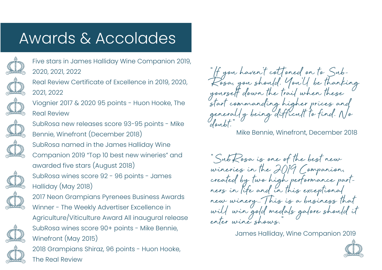## Awards & Accolades



Five stars in James Halliday Wine Companion 2019, 2020, 2021, 2022

Real Review Certificate of Excellence in 2019, 2020, 2021, 2022

Viognier 2017 & 2020 95 points - Huon Hooke, The Real Review

SubRosa new releases score 93-95 points - Mike

Bennie, Winefront (December 2018)



SubRosa named in the James Halliday Wine Companion 2019 "Top 10 best new wineries" and awarded five stars (August 2018) SubRosa wines score 92 - 96 points - James Halliday (May 2018)



2017 Neon Grampians Pyrenees Business Awards Winner - The Weekly Advertiser Excellence in Agriculture/Viticulture Award All inaugural release SubRosa wines score 90+ points - Mike Bennie, Winefront (May 2015)

2018 Grampians Shiraz, 96 points - Huon Hooke, The Real Review

"If you haven't cottoned on to Sub-<br>Rosa, you should. You'll be thanking yourself down the trail when these start commanding higher prices and<br>generally being difficult to find. No doubt<sup>\*</sup>

Mike Bennie, Winefront, December 2018

"SubRosa is one of the best new wineries in the 2019 Companion, created by two high performance part- ners in life and in this exceptional new winery. This is a business that will win gold medals galore should it enter wine shows."

James Halliday, Wine Companion 2019

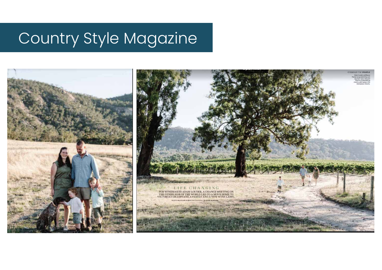# Country Style Magazine

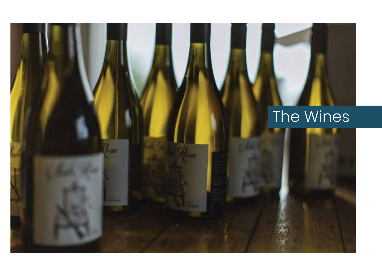# The Wines

asa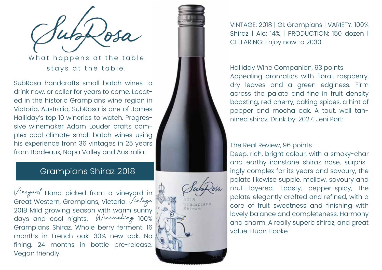What happens at the table stays at the table.

SubRosa handcrafts small batch wines to drink now, or cellar for years to come. Locat ed in the historic Grampians wine region in Victoria, Australia, SubRosa is one of James Halliday's top 10 wineries to watch. Progres sive winemaker Adam Louder crafts com plex cool climate small batch wines using his experience from 36 vintages in 25 years from Bordeaux, Napa Valley and Australia.

### Grampians Shiraz 2018

Vineyard Hand picked from a vineyard in Great Western, Grampians, Victoria. Vintage 2018 Mild growing season with warm sunny days and cool nights. Winemaking 100% Grampians Shiraz. Whole berry ferment. 16 months in French oak. 30% new oak. No fining. 24 months in bottle pre-release. Vegan friendly.



VINTAGE: 2018 | GI: Grampians | VARIETY: 100% Shiraz | Alc: 14% | PRODUCTION: 150 dozen | CELLARING: Enjoy now to 2030

Halliday Wine Companion, 93 points Appealing aromatics with floral, raspberry, dry leaves and a green edginess. Firm across the palate and fine in fruit density boasting, red cherry, baking spices, a hint of pepper and mocha oak. A taut, well tan nined shiraz. Drink by: 2027. Jeni Port:

#### The Real Review, 96 points

Deep, rich, bright colour, with a smoky-char and earthy-ironstone shiraz nose, surpris ingly complex for its years and savoury, the palate likewise supple, mellow, savoury and multi-layered. Toasty, pepper-spicy, the palate elegantly crafted and refined, with a core of fruit sweetness and finishing with lovely balance and completeness. Harmony and charm. A really superb shiraz, and great value. Huon Hooke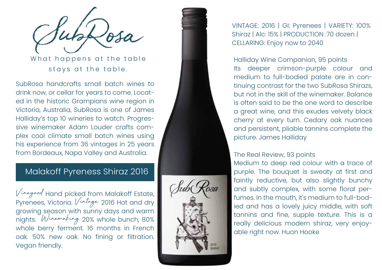What happens at the table stays at the table.

SubRosa handcrafts small batch wines to drink now, or cellar for years to come. Locat ed in the historic Grampians wine region in Victoria, Australia, SubRosa is one of James Halliday's top 10 wineries to watch. Progres sive winemaker Adam Louder crafts com plex cool climate small batch wines using his experience from 36 vintages in 25 years from Bordeaux, Napa Valley and Australia.

### Malakoff Pyreness Shiraz 2016

Vineyard Hand picked from Malakoff Estate, Pyrenees, Victoria. *Vintage* 2016 Hot and dry growing season with sunny days and warm nights. Winemaking 20% whole bunch, 80% whole berry ferment. 16 months in French oak. 50% new oak. No fining or filtration. Vegan friendly.



VINTAGE: 2016 | GI: Pyrenees | VARIETY: 100% Shiraz | Alc: 15% | PRODUCTION :70 dozen | CELLARING: Enjoy now to 2040

Halliday Wine Companion, 95 points Its deeper crimson-purple colour and medium to full-bodied palate are in con tinuing contrast for the two SubRosa Shirazs, but not in the skill of the winemaker. Balance is often said to be the one word to describe a great wine, and this exudes velvety black cherry at every turn. Cedary oak nuances and persistent, pliable tannins complete the picture. James Halliday

#### The Real Review, 93 points

Medium to deep red colour with a trace of purple. The bouquet is sweaty at first and faintly reductive, but also slightly bunchy and subtly complex, with some floral per fumes. In the mouth, it's medium to full-bod ied and has a lovely juicy middle, with soft tannins and fine, supple texture. This is a really delicious modern shiraz, very enjoy able right now. Huon Hooke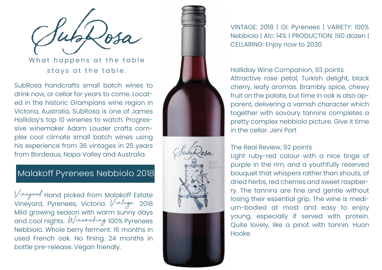What happens at the table stays at the table.

SubRosa handcrafts small batch wines to drink now, or cellar for years to come. Locat ed in the historic Grampians wine region in Victoria, Australia, SubRosa is one of James Halliday's top 10 wineries to watch. Progres sive winemaker Adam Louder crafts com plex cool climate small batch wines using his experience from 36 vintages in 25 years from Bordeaux, Napa Valley and Australia.

### Malakoff Pyrenees Nebbiolo 2018

Vineyard Hand picked from Malakoff Estate Vineyard, Pyrenees, Victoria. Vintage <sup>2018</sup> Mild growing season with warm sunny days and cool nights. Winemaking 100% Pyrenees Nebbiolo. Whole berry ferment. 16 months in used French oak. No fining. 24 months in bottle pre-release. Vegan friendly.





VINTAGE: 2018 | GI: Pyrenees | VARIETY: 100% Nebbiolo | Alc: 14% | PRODUCTION: 190 dozen | CELLARING: Enjoy now to 2030

### Halliday Wine Companion, 93 points Attractive rose petal, Turkish delight, black cherry, leafy aromas. Brambly spice, chewy fruit on the palate, but time in oak is also ap parent, delivering a varnish character which together with savoury tannins completes a pretty complex nebbiolo picture. Give it time in the cellar. Jeni Port

### The Real Review, 92 points

Light ruby-red colour with a nice tinge of purple in the rim, and a youthfully reserved bouquet that whispers rather than shouts, of dried herbs, red cherries and sweet raspber ry. The tannins are fine and gentle without losing their essential grip. The wine is medi um-bodied at most and easy to enjoy young, especially if served with protein. Quite lovely, like a pinot with tannin. Huon Hooke.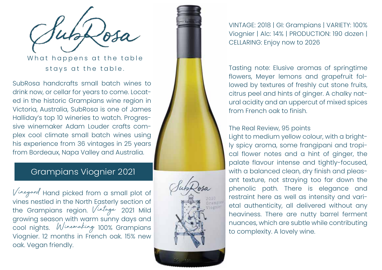What happens at the table stays at the table.

SubRosa handcrafts small batch wines to drink now, or cellar for years to come. Locat ed in the historic Grampians wine region in Victoria, Australia, SubRosa is one of James Halliday's top 10 wineries to watch. Progres sive winemaker Adam Louder crafts com plex cool climate small batch wines using his experience from 36 vintages in 25 years from Bordeaux, Napa Valley and Australia.

### Grampians Viognier 2021

Vineyard Hand picked from a small plot of vines nestled in the North Easterly section of the Grampians region. *Vintage* 2021 Mild growing season with warm sunny days and cool nights. Winemaking 100% Grampians Viognier. 12 months in French oak. 15% new oak. Vegan friendly.



VINTAGE: 2018 | GI: Grampians | VARIETY: 100% Viognier | Alc: 14% | PRODUCTION: 190 dozen | CELLARING: Enjoy now to 2026

Tasting note: Elusive aromas of springtime flowers, Meyer lemons and grapefruit fol lowed by textures of freshly cut stone fruits, citrus peel and hints of ginger. A chalky nat ural acidity and an uppercut of mixed spices from French oak to finish.

#### The Real Review, 95 points

Light to medium yellow colour, with a bright ly spicy aroma, some frangipani and tropi cal flower notes and a hint of ginger, the palate flavour intense and tightly-focused, with a balanced clean, dry finish and pleas ant texture, not straying too far down the phenolic path. There is elegance and restraint here as well as intensity and vari etal authenticity, all delivered without any heaviness. There are nutty barrel ferment nuances, which are subtle while contributing to complexity. A lovely wine.